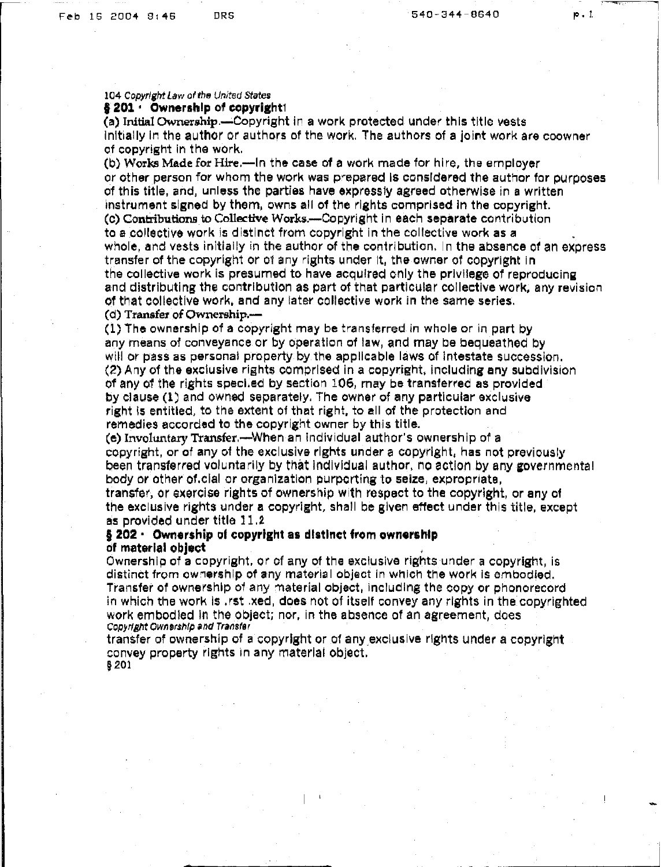1

#### 104 Copyright Law of the United States § 201 · Ownership of copyright1

(a) Initial Ownership.-Copyright in a work protected under this title vests initially In the author Or authors of the work. The authors of a joint work are coowner of copyright in the work.

(b) Works Made for Hire.-In the case of a work made for hire, the employer or other person for whom the work was prepared Is considered the author for ourpcses of this title, and, unless the parties have expressly agreed otherwise in a written instrument signed by them, owns all of the rights comprised in the copyright. (c) Contributions to Collective Works.-Copyright in each separate contribution to a collective work is distinct from copyright in the collective work as a whole, and vests initially in the author of the contribution. In the absence of an express transfer of the copyright or 01 any rights under It. the owner of copyright in the collective work is presumed to have acquired only the privilege of reproducing and distributing the contribution as part of that particular collective work, any revision of that collective work. and any later collective work in the same series. (d) Transfer of Ownership.-

(1) The ownership of a copyright may be transferred in whole or in part by any means of conveyance or by operation of law, and may be bequeathed by will or pass as personal property by the applicable laws of intestate succession. (2) Any of the exclusive rights comprised in a copyright, including any subdlvtslon of any of the rights speci.ed by section 106, may be transferred as provided by clause (1) and owned separately. The owner of any particular exclvsive right is entitled, to the extent of that right, to all of the protection and remedies accorded to the copyright owner by this title.

(e) Involuntary Transfer.-When an individual author's ownership of a copyright, or of any of the exclusive rights under a copyright, has not previously been transferred voluntarily by that individual author, no action by any governmental body or other of clal or organization purporting to seize, expropriate,

transfer, or exercise rights of ownershlp with respect to the copyright, or any of the exclusive rights under a copyright, shall be given effect under this title, except as provided under title 11.2

#### § 202 · Ownership of copyright as distinct from ownership of material object .

Ownership of a copyright, or of any of the exclusive rights under a copyright, is distinct from cwnershlp of any materia I object in which the work is embodied. Transfer of ownership 01 any materlal object, including the copy or phonorecord in which the work is .rst .xed, does not of itself convey any rights in the copyrighted work embodied In the object; nor, in the absence of an agreement, does Copyright Ownership and Transfer

transfer of ownership of a copyright or of any exclusive rights under a copyright convey property rights in any material object. § 201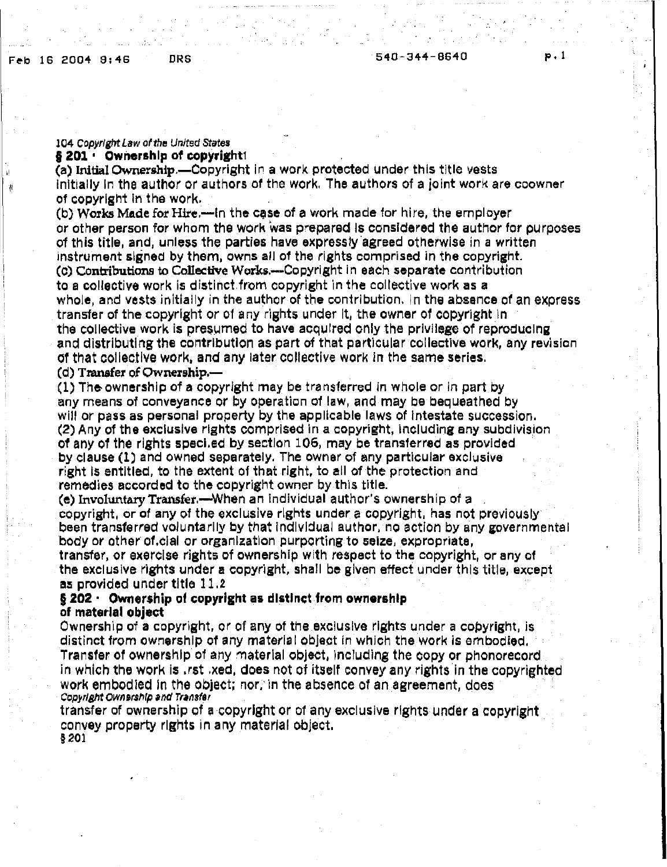#### 104 Copyright Law of the United States § 201 · Ownership of copyright!

(a) Initial Ownership.-Copyright in a work protected under this title vests initially in the author or authors of the work. The authors of a joint work are coowner of copyright In the work.

(b) Works Made for Hire.--in the case of a work made for hire, the employer or other person for whom the work 'was prepared Is considered the author for purposes of this title, and, unless the parties have expressly agreed otherwise in a written instrument signed by them, owns all of the rights comprised in the copyright. (c) Contributions to Collective Works.--Copyright in each separate contribution to a collective work is distinct from copyright in the collective work as a whole, and vests initially in the author of the contribution. In the absence of an express transfer of the copyright or of any rights under It, the owner of copyright in the collective work is presumed to have acquired only the privilege of reproducing and distributing the contribution as part of that particular collective work, any revision Of that collective work, and any later collective work in the same series,

## (d) Transfer of Ownership.-

(1) The-ownership of a copyright may be transferred in whole or in part oy any means of conveyance or by operation of law, and may be bequeathed by will or pass as personal property by the applicable laws of Intestate succession. (2) Any of the exclusive rights comprised in a copyright, including any subdivision of any of the rights speci.ed by section 106, may be transferred as prcvlded by clause (1) and owned separately, The owner of any particular excluslve right Is entitled, to the extent of that right. to all of the protection and remedies accorded to the copyright owner by this title.

(e) Involuntary Transfer.—When an individual author's ownership of a copyright, or of any of the exclusive rights under a copyright, has not previously been transferred voluntarily by that individual author, no action by any governmental body or other of.clal or organization purporting to seize, expropriate,

transfer, or exercise rights of ownership with respect to the copyright, or any of the exclusive rights under a copyright, shall be given effect under this title, except as provided under title 11.2

## $§$  202  $\cdot$  Ownership of copyright as distinct from ownership of material object

Ownership of a copyright, or of any of the exclusive rights under a copyright, Is distinct from ownership of any materia I object In which the work is embodied. Transfer of ownership of any material object, including the copy or phonorecord in which the work Is .rst .xed, does not of itSelf convey any rights in the copyrighted work embodied In the object; nor, in the absence of an agreement, does Copyright Ownership and Transfer

transfer of ownership of a copyright or of any exclusive rights under a copyright convey property rights in any material object, §201